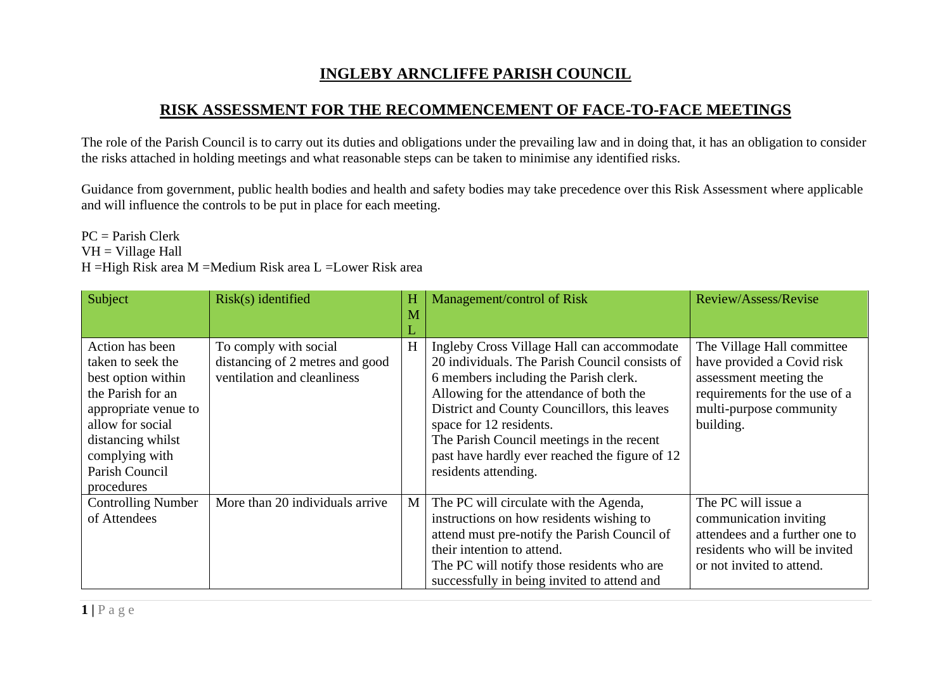## **INGLEBY ARNCLIFFE PARISH COUNCIL**

## **RISK ASSESSMENT FOR THE RECOMMENCEMENT OF FACE-TO-FACE MEETINGS**

The role of the Parish Council is to carry out its duties and obligations under the prevailing law and in doing that, it has an obligation to consider the risks attached in holding meetings and what reasonable steps can be taken to minimise any identified risks.

Guidance from government, public health bodies and health and safety bodies may take precedence over this Risk Assessment where applicable and will influence the controls to be put in place for each meeting.

## PC = Parish Clerk VH = Village Hall H =High Risk area M =Medium Risk area L =Lower Risk area

| Subject                                                                                                                                                                                            | $Risk(s)$ identified                                                                    | H<br>M | Management/control of Risk                                                                                                                                                                                                                                                                                                                                                         | Review/Assess/Revise                                                                                                                                        |
|----------------------------------------------------------------------------------------------------------------------------------------------------------------------------------------------------|-----------------------------------------------------------------------------------------|--------|------------------------------------------------------------------------------------------------------------------------------------------------------------------------------------------------------------------------------------------------------------------------------------------------------------------------------------------------------------------------------------|-------------------------------------------------------------------------------------------------------------------------------------------------------------|
|                                                                                                                                                                                                    |                                                                                         |        |                                                                                                                                                                                                                                                                                                                                                                                    |                                                                                                                                                             |
| Action has been<br>taken to seek the<br>best option within<br>the Parish for an<br>appropriate venue to<br>allow for social<br>distancing whilst<br>complying with<br>Parish Council<br>procedures | To comply with social<br>distancing of 2 metres and good<br>ventilation and cleanliness | H      | Ingleby Cross Village Hall can accommodate<br>20 individuals. The Parish Council consists of<br>6 members including the Parish clerk.<br>Allowing for the attendance of both the<br>District and County Councillors, this leaves<br>space for 12 residents.<br>The Parish Council meetings in the recent<br>past have hardly ever reached the figure of 12<br>residents attending. | The Village Hall committee<br>have provided a Covid risk<br>assessment meeting the<br>requirements for the use of a<br>multi-purpose community<br>building. |
| <b>Controlling Number</b><br>of Attendees                                                                                                                                                          | More than 20 individuals arrive                                                         | M      | The PC will circulate with the Agenda,<br>instructions on how residents wishing to<br>attend must pre-notify the Parish Council of<br>their intention to attend.<br>The PC will notify those residents who are<br>successfully in being invited to attend and                                                                                                                      | The PC will issue a<br>communication inviting<br>attendees and a further one to<br>residents who will be invited<br>or not invited to attend.               |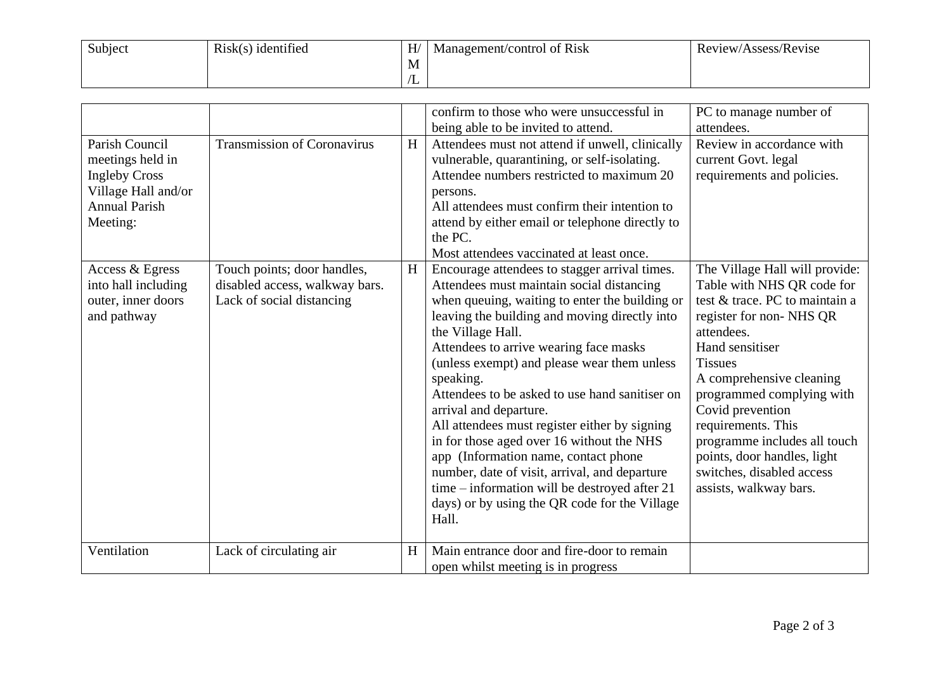| Subject | $Risk(s)$ identified | H/   | Management/control of Risk | Review/Assess/Revise |
|---------|----------------------|------|----------------------------|----------------------|
|         |                      | -IVI |                            |                      |
|         |                      | ت ،  |                            |                      |

|                                                                                                                       |                                                                                            |   | confirm to those who were unsuccessful in<br>being able to be invited to attend.                                                                                                                                                                                                                                                                                                                                                                                                                                                                                                                                                                                                                       | PC to manage number of<br>attendees.                                                                                                                                                                                                                                                                                                                                                                  |
|-----------------------------------------------------------------------------------------------------------------------|--------------------------------------------------------------------------------------------|---|--------------------------------------------------------------------------------------------------------------------------------------------------------------------------------------------------------------------------------------------------------------------------------------------------------------------------------------------------------------------------------------------------------------------------------------------------------------------------------------------------------------------------------------------------------------------------------------------------------------------------------------------------------------------------------------------------------|-------------------------------------------------------------------------------------------------------------------------------------------------------------------------------------------------------------------------------------------------------------------------------------------------------------------------------------------------------------------------------------------------------|
| Parish Council<br>meetings held in<br><b>Ingleby Cross</b><br>Village Hall and/or<br><b>Annual Parish</b><br>Meeting: | <b>Transmission of Coronavirus</b>                                                         | H | Attendees must not attend if unwell, clinically<br>vulnerable, quarantining, or self-isolating.<br>Attendee numbers restricted to maximum 20<br>persons.<br>All attendees must confirm their intention to<br>attend by either email or telephone directly to<br>the PC.<br>Most attendees vaccinated at least once.                                                                                                                                                                                                                                                                                                                                                                                    | Review in accordance with<br>current Govt. legal<br>requirements and policies.                                                                                                                                                                                                                                                                                                                        |
| Access & Egress<br>into hall including<br>outer, inner doors<br>and pathway                                           | Touch points; door handles,<br>disabled access, walkway bars.<br>Lack of social distancing | H | Encourage attendees to stagger arrival times.<br>Attendees must maintain social distancing<br>when queuing, waiting to enter the building or<br>leaving the building and moving directly into<br>the Village Hall.<br>Attendees to arrive wearing face masks<br>(unless exempt) and please wear them unless<br>speaking.<br>Attendees to be asked to use hand sanitiser on<br>arrival and departure.<br>All attendees must register either by signing<br>in for those aged over 16 without the NHS<br>app (Information name, contact phone<br>number, date of visit, arrival, and departure<br>time – information will be destroyed after 21<br>days) or by using the QR code for the Village<br>Hall. | The Village Hall will provide:<br>Table with NHS QR code for<br>test & trace. PC to maintain a<br>register for non-NHS QR<br>attendees.<br>Hand sensitiser<br><b>Tissues</b><br>A comprehensive cleaning<br>programmed complying with<br>Covid prevention<br>requirements. This<br>programme includes all touch<br>points, door handles, light<br>switches, disabled access<br>assists, walkway bars. |
| Ventilation                                                                                                           | Lack of circulating air                                                                    | H | Main entrance door and fire-door to remain<br>open whilst meeting is in progress                                                                                                                                                                                                                                                                                                                                                                                                                                                                                                                                                                                                                       |                                                                                                                                                                                                                                                                                                                                                                                                       |